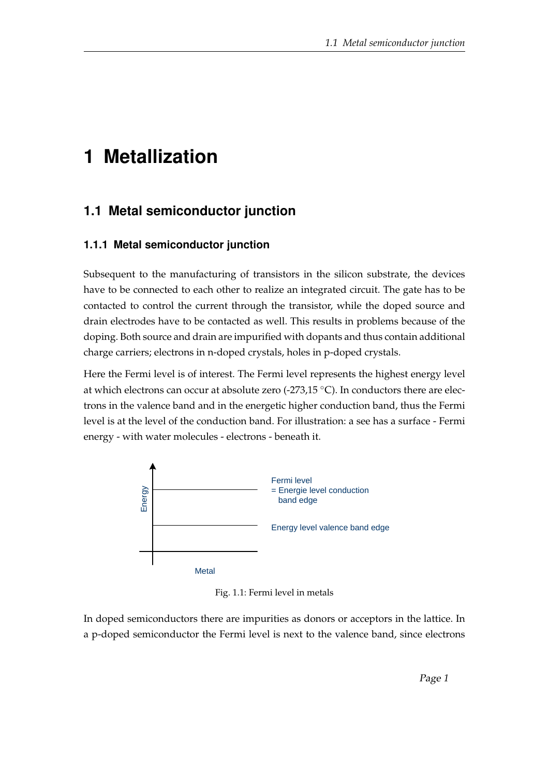## **1 Metallization**

## **1.1 Metal semiconductor junction**

## **1.1.1 Metal semiconductor junction**

Subsequent to the manufacturing of transistors in the silicon substrate, the devices have to be connected to each other to realize an integrated circuit. The gate has to be contacted to control the current through the transistor, while the doped source and drain electrodes have to be contacted as well. This results in problems because of the doping. Both source and drain are impurified with dopants and thus contain additional charge carriers; electrons in n-doped crystals, holes in p-doped crystals.

Here the Fermi level is of interest. The Fermi level represents the highest energy level at which electrons can occur at absolute zero  $(-273.15 \text{ °C})$ . In conductors there are electrons in the valence band and in the energetic higher conduction band, thus the Fermi level is at the level of the conduction band. For illustration: a see has a surface - Fermi energy - with water molecules - electrons - beneath it.



Fig. 1.1: Fermi level in metals

In doped semiconductors there are impurities as donors or acceptors in the lattice. In a p-doped semiconductor the Fermi level is next to the valence band, since electrons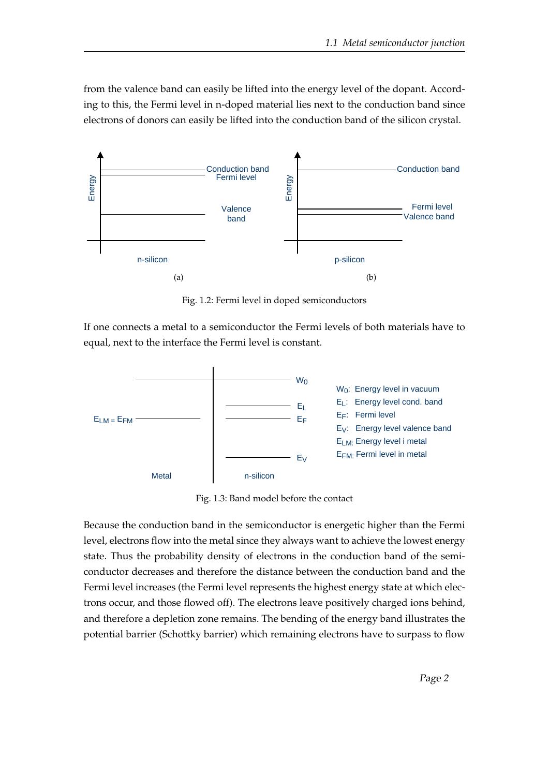from the valence band can easily be lifted into the energy level of the dopant. According to this, the Fermi level in n-doped material lies next to the conduction band since electrons of donors can easily be lifted into the conduction band of the silicon crystal.



Fig. 1.2: Fermi level in doped semiconductors

If one connects a metal to a semiconductor the Fermi levels of both materials have to equal, next to the interface the Fermi level is constant.



Fig. 1.3: Band model before the contact

Because the conduction band in the semiconductor is energetic higher than the Fermi level, electrons flow into the metal since they always want to achieve the lowest energy state. Thus the probability density of electrons in the conduction band of the semiconductor decreases and therefore the distance between the conduction band and the Fermi level increases (the Fermi level represents the highest energy state at which electrons occur, and those flowed off). The electrons leave positively charged ions behind, and therefore a depletion zone remains. The bending of the energy band illustrates the potential barrier (Schottky barrier) which remaining electrons have to surpass to flow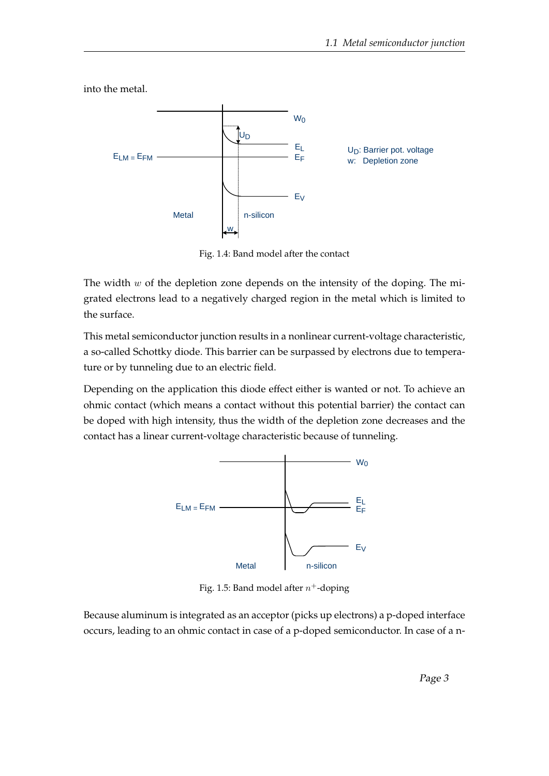EV EF EL  $E_{LM}$  =  $E_{FM}$  $W<sub>0</sub>$ Metal I n-silicon w UD U<sub>D</sub>: Barrier pot. voltage w: Depletion zone

into the metal.

Fig. 1.4: Band model after the contact

The width  $w$  of the depletion zone depends on the intensity of the doping. The migrated electrons lead to a negatively charged region in the metal which is limited to the surface.

This metal semiconductor junction results in a nonlinear current-voltage characteristic, a so-called Schottky diode. This barrier can be surpassed by electrons due to temperature or by tunneling due to an electric field.

Depending on the application this diode effect either is wanted or not. To achieve an ohmic contact (which means a contact without this potential barrier) the contact can be doped with high intensity, thus the width of the depletion zone decreases and the contact has a linear current-voltage characteristic because of tunneling.



Fig. 1.5: Band model after  $n^+$ -doping

Because aluminum is integrated as an acceptor (picks up electrons) a p-doped interface occurs, leading to an ohmic contact in case of a p-doped semiconductor. In case of a n-

Page 3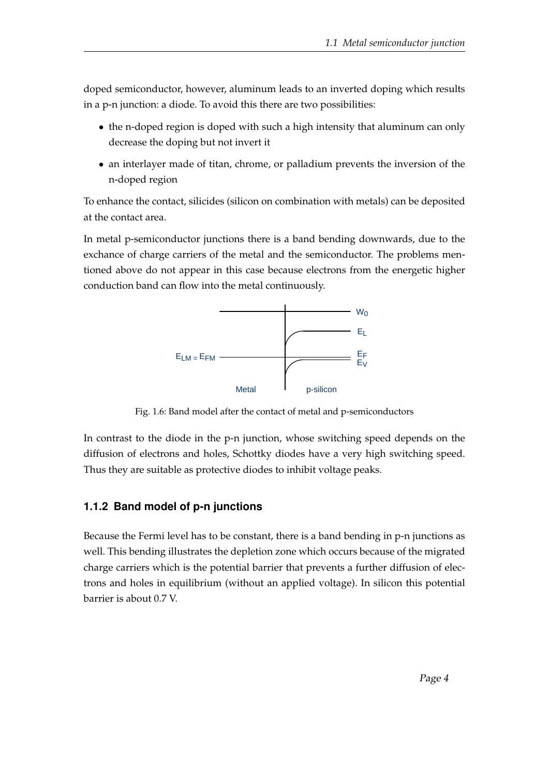doped semiconductor, however, aluminum leads to an inverted doping which results in a p-n junction: a diode. To avoid this there are two possibilities:

- the n-doped region is doped with such a high intensity that aluminum can only decrease the doping but not invert it
- an interlayer made of titan, chrome, or palladium prevents the inversion of the n-doped region

To enhance the contact, silicides (silicon on combination with metals) can be deposited at the contact area.

In metal p-semiconductor junctions there is a band bending downwards, due to the exchance of charge carriers of the metal and the semiconductor. The problems mentioned above do not appear in this case because electrons from the energetic higher conduction band can flow into the metal continuously.



Fig. 1.6: Band model after the contact of metal and p-semiconductors

In contrast to the diode in the p-n junction, whose switching speed depends on the diffusion of electrons and holes, Schottky diodes have a very high switching speed. Thus they are suitable as protective diodes to inhibit voltage peaks.

## **1.1.2 Band model of p-n junctions**

Because the Fermi level has to be constant, there is a band bending in p-n junctions as well. This bending illustrates the depletion zone which occurs because of the migrated charge carriers which is the potential barrier that prevents a further diffusion of electrons and holes in equilibrium (without an applied voltage). In silicon this potential barrier is about 0.7 V.